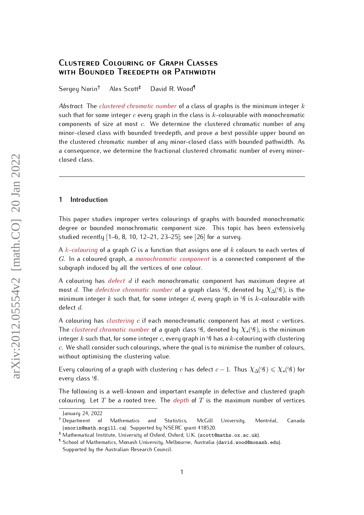# <span id="page-0-0"></span>**Clustered Colouring of Graph Classes with Bounded Treedepth or Pathwidth**

Sergey Norin<sup>†</sup> Alex Scott<sup>‡</sup> David R. Wood

*Abstract.* The *clustered chromatic number* of a class of graphs is the minimum integer k such that for some integer  $c$  every graph in the class is  $k$ -colourable with monochromatic components of size at most  $c$ . We determine the clustered chromatic number of any minor-closed class with bounded treedepth, and prove a best possible upper bound on the clustered chromatic number of any minor-closed class with bounded pathwidth. As a consequence, we determine the fractional clustered chromatic number of every minorclosed class.

## **1 Introduction**

This paper studies improper vertex colourings of graphs with bounded monochromatic degree or bounded monochromatic component size. This topic has been extensively studied recently [\[1–](#page-12-0)[6,](#page-12-1) [8,](#page-13-0) [10,](#page-13-1) [12–](#page-13-2)[21,](#page-13-3) [23–](#page-13-4)[25\]](#page-13-5); see [\[26\]](#page-13-6) for a survey.

A k*-colouring* of a graph G is a function that assigns one of k colours to each vertex of G. In a coloured graph, a *monochromatic component* is a connected component of the subgraph induced by all the vertices of one colour.

A colouring has *defect* d if each monochromatic component has maximum degree at most d. The *defective chromatic number* of a graph class  $\mathscr{G}$ , denoted by  $\chi_{\Delta}(\mathscr{G})$ , is the minimum integer k such that, for some integer d, every graph in  $\mathcal G$  is k-colourable with defect d.

A colouring has *clustering* c if each monochromatic component has at most c vertices. The *clustered chromatic number* of a graph class  $\mathscr{G}$ , denoted by  $\chi_*(\mathscr{G})$ , is the minimum integer k such that, for some integer c, every graph in  $\mathscr G$  has a k-colouring with clustering  $c$ . We shall consider such colourings, where the goal is to minimise the number of colours, without optimising the clustering value.

Every colouring of a graph with clustering c has defect  $c - 1$ . Thus  $\chi_{\Delta}(q) \leq \chi_{\star}(q)$  for every class  $\mathscr{G}$ .

The following is a well-known and important example in defective and clustered graph colouring. Let  $T$  be a rooted tree. The *depth* of  $T$  is the maximum number of vertices

January 24, 2022

<sup>&</sup>lt;sup>†</sup> Department of Mathematics and Statistics, McGill University, Montréal, Canada (snorin@math.mcgill.ca). Supported by NSERC grant 418520.

<sup>‡</sup> Mathematical Institute, University of Oxford, Oxford, U.K. (scott@maths.ox.ac.uk).

<sup>¶</sup> School of Mathematics, Monash University, Melbourne, Australia (david.wood@monash.edu). Supported by the Australian Research Council.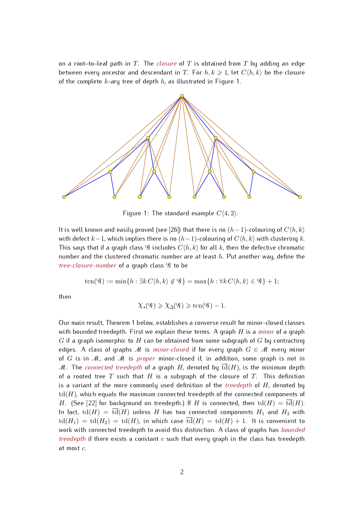on a root–to–leaf path in T. The *closure* of T is obtained from T by adding an edge between every ancestor and descendant in T. For  $h, k \geq 1$ , let  $C(h, k)$  be the closure of the complete  $k$ -ary tree of depth  $h$ , as illustrated in Figure [1.](#page-1-0)



<span id="page-1-0"></span>Figure 1: The standard example  $C(4, 2)$ .

It is well known and easily proved (see [\[26\]](#page-13-6)) that there is no  $(h-1)$ -colouring of  $C(h, k)$ with defect  $k-1$ , which implies there is no  $(h-1)$ -colouring of  $C(h, k)$  with clustering k. This says that if a graph class  $\mathscr G$  includes  $C\langle h, k \rangle$  for all k, then the defective chromatic number and the clustered chromatic number are at least  $h$ . Put another way, define the *tree-closure-number* of a graph class  $\mathscr G$  to be

$$
ten(\mathcal{G}) := min\{h : \exists k \ C \langle h, k \rangle \notin \mathcal{G}\} = max\{h : \forall k \ C \langle h, k \rangle \in \mathcal{G}\} + 1;
$$

then

$$
\chi_\star({\mathscr{G}})\geqslant \chi_\Delta({\mathscr{G}})\geqslant {\rm trn}({\mathscr{G}})-1.
$$

<span id="page-1-1"></span>Our main result, Theorem [1](#page-1-1) below, establishes a converse result for minor-closed classes with bounded treedepth. First we explain these terms. A graph H is a *minor* of a graph G if a graph isomorphic to H can be obtained from some subgraph of G by contracting edges. A class of graphs M is *minor-closed* if for every graph  $G \in \mathcal{M}$  every minor of G is in M, and M is *proper* minor-closed if, in addition, some graph is not in M. The *connected treedepth* of a graph H, denoted by  $\overline{\text{td}}(H)$ , is the minimum depth of a rooted tree  $T$  such that  $H$  is a subgraph of the closure of  $T$ . This definition is a variant of the more commonly used definition of the *treedepth* of H, denoted by  $td(H)$ , which equals the maximum connected treedepth of the connected components of H. (See [\[22\]](#page-13-7) for background on treedepth.) If H is connected, then  $\mathrm{td}(H) = \mathrm{td}(H)$ . In fact,  $\mathrm{td}(H) = \overline{\mathrm{td}}(H)$  unless H has two connected components  $H_1$  and  $H_2$  with  $\mathrm{td}(H_1) = \mathrm{td}(H_2) = \mathrm{td}(H)$ , in which case  $\overline{\mathrm{td}}(H) = \mathrm{td}(H) + 1$ . It is convenient to work with connected treedepth to avoid this distinction. A class of graphs has *bounded treedepth* if there exists a constant  $c$  such that every graph in the class has treedepth at most c.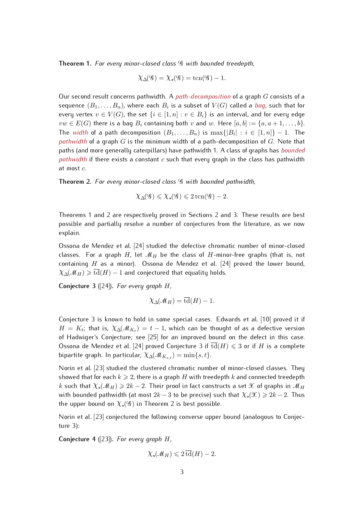**Theorem 1.** *For every minor-closed class* G *with bounded treedepth,*

$$
\chi_{\Delta}(q) = \chi_{\star}(q) = \text{tcn}(q) - 1.
$$

Our second result concerns pathwidth. A *path-decomposition* of a graph G consists of a sequence  $(B_1, \ldots, B_n)$ , where each  $B_i$  is a subset of  $V(G)$  called a  $\overline{bag}$ , such that for every vertex  $v \in V(G)$ , the set  $\{i \in [1,n] : v \in B_i\}$  is an interval, and for every edge  $vw \in E(G)$  there is a bag  $B_i$  containing both v and w. Here  $[a, b] := \{a, a+1, \ldots, b\}.$ The *width* of a path decomposition  $(B_1, \ldots, B_n)$  is  $\max\{|B_i| : i \in [1, n]\} - 1$ . The *pathwidth* of a graph G is the minimum width of a path-decomposition of G. Note that paths (and more generally caterpillars) have pathwidth 1. A class of graphs has *bounded pathwidth* if there exists a constant c such that every graph in the class has pathwidth at most c.

<span id="page-2-0"></span>**Theorem 2.** *For every minor-closed class* G *with bounded pathwidth,*

$$
\chi_{\Delta}(\mathcal{G}) \leqslant \chi_{\star}(\mathcal{G}) \leqslant 2 \operatorname{tcn}(\mathcal{G}) - 2.
$$

Theorems [1](#page-1-1) and [2](#page-2-0) are respectively proved in Sections [2](#page-4-0) and [3.](#page-9-0) These results are best possible and partially resolve a number of conjectures from the literature, as we now explain.

Ossona de Mendez et al. [\[24\]](#page-13-8) studied the defective chromatic number of minor-closed classes. For a graph H, let  $\mathcal{M}_H$  be the class of H-minor-free graphs (that is, not containing  $H$  as a minor). Ossona de Mendez et al. [\[24\]](#page-13-8) proved the lower bound,  $\chi_{\Delta}(M_H) \geq \overline{\text{td}}(H) - 1$  and conjectured that equality holds.

<span id="page-2-1"></span>**Conjecture 3** ([\[24\]](#page-13-8))**.** *For every graph* H*,*

$$
\chi_{\Delta}(\mathcal{M}_H) = \overline{\operatorname{td}}(H) - 1.
$$

Conjecture [3](#page-2-1) is known to hold in some special cases. Edwards et al. [\[10\]](#page-13-1) proved it if  $H = K_t$ ; that is,  $\chi_{\Delta}(\mathcal{M}_{K_t}) = t - 1$ , which can be thought of as a defective version of Hadwiger's Conjecture; see [\[25\]](#page-13-5) for an improved bound on the defect in this case. Ossona de Mendez et al. [\[24\]](#page-13-8) proved Conjecture [3](#page-2-1) if  $\overline{\mathrm{td}}(H) \leq 3$  or if H is a complete bipartite graph. In particular,  $\chi_{\Delta}(\mathcal{M}_{K_s,t}) = \min\{s,t\}.$ 

Norin et al. [\[23\]](#page-13-4) studied the clustered chromatic number of minor-closed classes. They showed that for each  $k \geqslant 2$ , there is a graph H with treedepth k and connected treedepth k such that  $\chi_*(\mathcal{M}_H) \geq 2k - 2$ . Their proof in fact constructs a set  $\mathcal X$  of graphs in  $\mathcal M_H$ with bounded pathwidth (at most  $2k - 3$  to be precise) such that  $\chi_{\star}(\mathcal{X}) \geq 2k - 2$ . Thus the upper bound on  $\chi_{\star}( \mathcal{G} )$  in Theorem [2](#page-2-0) is best possible.

Norin et al. [\[23\]](#page-13-4) conjectured the following converse upper bound (analogous to Conjecture [3\)](#page-2-1):

<span id="page-2-2"></span>**Conjecture 4** ([\[23\]](#page-13-4))**.** *For every graph* H*,*

$$
\chi_{\star}(\mathcal{M}_H) \leqslant 2\,\overline{\operatorname{td}}(H) - 2.
$$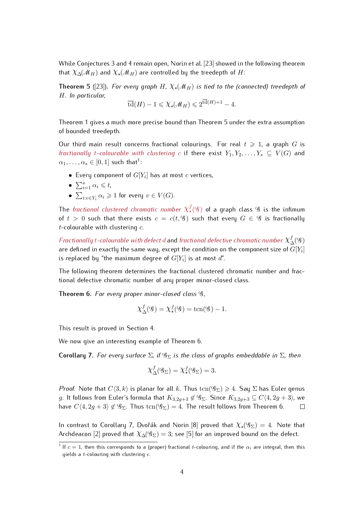While Conjectures [3](#page-2-1) and [4](#page-2-2) remain open, Norin et al. [\[23\]](#page-13-4) showed in the following theorem that  $\chi_{\Delta}(\mathcal{M}_H)$  and  $\chi_{\star}(\mathcal{M}_H)$  are controlled by the treedepth of H:

<span id="page-3-0"></span>**Theorem 5** ([\[23\]](#page-13-4)). For every graph H,  $\chi_{\star}(M_H)$  is tied to the (connected) treedepth of H*. In particular,*

$$
\overline{\operatorname{td}}(H)-1\leqslant \chi_\star(\mathcal{M}_H)\leqslant 2^{\overline{\operatorname{td}}(H)+1}-4.
$$

Theorem [1](#page-1-1) gives a much more precise bound than Theorem [5](#page-3-0) under the extra assumption of bounded treedepth.

Our third main result concerns fractional colourings. For real  $t \geq 1$ , a graph G is *fractionally t-colourable with clustering* c if there exist  $Y_1, Y_2, \ldots, Y_s \subseteq V(G)$  and  $\alpha_1,\ldots,\alpha_s\in[0,1]$  $\alpha_1,\ldots,\alpha_s\in[0,1]$  $\alpha_1,\ldots,\alpha_s\in[0,1]$  such that<sup>1</sup>:

- $\bullet\,$  Every component of  $G[Y_i]$  has at most  $c$  vertices,
- $\bullet \sum_{i=1}^s \alpha_i \leq t$ ,
- $\bullet \sum_{i:v\in Y_i}\alpha_i\geqslant 1$  for every  $v\in V(G).$

The *fractional clustered chromatic number*  $\chi_{\star}^{f}(\mathscr{G})$  *of a graph class*  $\mathscr{G}$  *is the infimum* of  $t > 0$  such that there exists  $c = c(t, \mathcal{G})$  such that every  $G \in \mathcal{G}$  is fractionally  $t$ -colourable with clustering  $c$ .

 $Fractionally \, t\text{-}colourable \, with \, defect \, d$  and  $fractional \, defective \, chromatic \, number \, \chi^f_\Delta(q)$ are defined in exactly the same way, except the condition on the component size of  $G[Y_i]$ is replaced by "the maximum degree of  $G[Y_i]$  is at most  $d$ ".

The following theorem determines the fractional clustered chromatic number and fractional defective chromatic number of any proper minor-closed class.

<span id="page-3-1"></span>**Theorem 6.** *For every proper minor-closed class* G*,*

$$
\chi_{\Delta}^f(\mathcal{G}) = \chi_{\star}^f(\mathcal{G}) = \text{tcn}(\mathcal{G}) - 1.
$$

This result is proved in Section [4.](#page-11-0)

<span id="page-3-2"></span>We now give an interesting example of Theorem [6.](#page-3-1)

**Corollary 7.** *For every surface*  $\Sigma$ *, if*  $\mathscr{G}_{\Sigma}$  *is the class of graphs embeddable in*  $\Sigma$ *, then* 

$$
\chi_{\Delta}^f(\mathscr{G}_{\Sigma}) = \chi_{\star}^f(\mathscr{G}_{\Sigma}) = 3.
$$

*Proof.* Note that  $C(3, k)$  is planar for all k. Thus  $\text{ten}(\mathscr{G}_{\Sigma}) \geq 4$ . Say  $\Sigma$  has Euler genus g. It follows from Euler's formula that  $K_{3,2g+3} \not\in \mathscr{G}_{\Sigma}$ . Since  $K_{3,2g+3} \subseteq C\langle 4, 2g+3 \rangle$ , we have  $C\langle 4, 2g + 3 \rangle \notin \mathscr{G}_{\Sigma}$ . Thus  $\text{ten}(\mathscr{G}_{\Sigma}) = 4$ . The result follows from Theorem [6.](#page-3-1)  $\Box$ 

In contrast to Corollary [7,](#page-3-2) Dvořák and Norin [\[8\]](#page-13-0) proved that  $\chi_{\star}(95) = 4$ . Note that Archdeacon [\[2\]](#page-12-2) proved that  $\chi_{\Delta}( \mathscr{G}_{\Sigma} ) = 3$ ; see [\[5\]](#page-12-3) for an improved bound on the defect.

 $^1$  If  $c=1$ , then this corresponds to a (proper) fractional  $t$ -colouring, and if the  $\alpha_i$  are integral, then this yields a  $t$ -colouring with clustering  $c$ .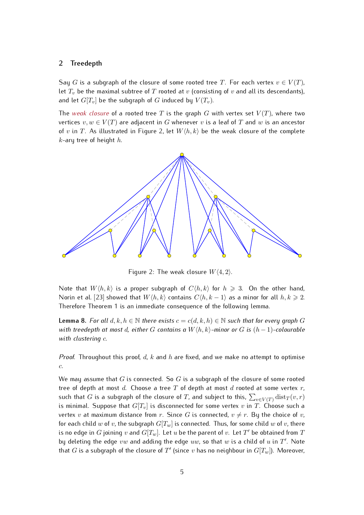# <span id="page-4-0"></span>**2 Treedepth**

Say G is a subgraph of the closure of some rooted tree T. For each vertex  $v \in V(T)$ , let  $T_v$  be the maximal subtree of T rooted at v (consisting of v and all its descendants), and let  $G[T_v]$  be the subgraph of G induced by  $V(T_v)$ .

The *weak closure* of a rooted tree T is the graph G with vertex set  $V(T)$ , where two vertices  $v, w \in V(T)$  are adjacent in G whenever v is a leaf of T and w is an ancestor of v in T. As illustrated in Figure [2,](#page-4-1) let  $W(h, k)$  be the weak closure of the complete  $k$ -ary tree of height  $h$ .



<span id="page-4-1"></span>Figure 2: The weak closure  $W(4, 2)$ .

Note that  $W\langle h, k\rangle$  is a proper subgraph of  $C\langle h, k\rangle$  for  $h \geq 3$ . On the other hand, Norin et al. [\[23\]](#page-13-4) showed that  $W(h, k)$  contains  $C(h, k - 1)$  as a minor for all  $h, k \geq 2$ . Therefore Theorem [1](#page-1-1) is an immediate consequence of the following lemma.

<span id="page-4-2"></span>**Lemma 8.** *For all*  $d, k, h \in \mathbb{N}$  *there exists*  $c = c(d, k, h) \in \mathbb{N}$  *such that for every graph* G *with treedepth at most d, either* G *contains a*  $W\langle h, k\rangle$ -minor or G is  $(h-1)$ -colourable *with clustering* c*.*

*Proof.* Throughout this proof, d, k and h are fixed, and we make no attempt to optimise c.

We may assume that G is connected. So G is a subgraph of the closure of some rooted tree of depth at most d. Choose a tree  $T$  of depth at most  $d$  rooted at some vertex  $r$ , such that  $G$  is a subgraph of the closure of  $T$ , and subject to this,  $\sum_{v\in V(T)}\operatorname{dist}_T(v,r)$ is minimal. Suppose that  $G[T_v]$  is disconnected for some vertex v in T. Choose such a vertex v at maximum distance from r. Since G is connected,  $v \neq r$ . By the choice of v, for each child w of v, the subgraph  $G[T_w]$  is connected. Thus, for some child w of v, there is no edge in  $G$  joining  $v$  and  $G[T_w].$  Let  $u$  be the parent of  $v.$  Let  $T'$  be obtained from  $\tilde T$ by deleting the edge  $vw$  and adding the edge  $uw$ , so that  $w$  is a child of  $u$  in  $T^{\prime}.$  Note that  $G$  is a subgraph of the closure of  $T'$  (since  $v$  has no neighbour in  $G[T_w]$ ). Moreover,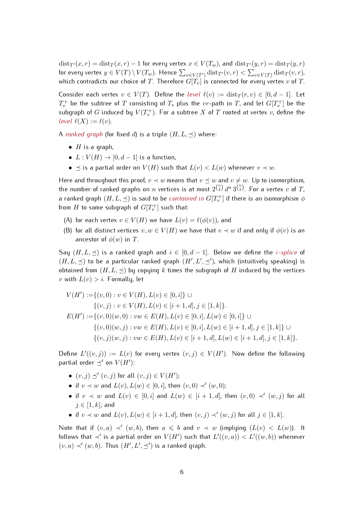$dist_{T}(x, r) = dist_T(x, r) - 1$  for every vertex  $x \in V(T_w)$ , and  $dist_{T}(y, r) = dist_T(y, r)$ for every vertex  $y\in V(T)\setminus V(T_w).$  Hence  $\sum_{v\in V(T')} \textnormal{dist}_{T'}(v,r)<\sum_{v\in V(T)} \textnormal{dist}_T(v,r)$ , which contradicts our choice of T. Therefore  $G[T_v]$  is connected for every vertex v of T.

Consider each vertex  $v \in V(T)$ . Define the *level*  $\ell(v) := \text{dist}_T(r, v) \in [0, d-1]$ . Let  $T_v^+$  be the subtree of  $T$  consisting of  $T_v$  plus the  $vr$ –path in  $T$ , and let  $G[T_v^+]$  be the subgraph of  $G$  induced by  $V(T_v^+)$ . For a subtree  $X$  of  $T$  rooted at vertex  $v$ , define the *level*  $\ell(X) := \ell(v)$ .

A *ranked graph* (for fixed d) is a triple  $(H, L, \prec)$  where:

- $H$  is a graph,
- $L: V(H) \rightarrow [0, d-1]$  is a function,
- $\preceq$  is a partial order on  $V(H)$  such that  $L(v) < L(w)$  whenever  $v \prec w$ .

Here and throughout this proof,  $v \prec w$  means that  $v \preceq w$  and  $v \neq w$ . Up to isomorphism, the number of ranked graphs on  $n$  vertices is at most  $2^{\binom{n}{2}}d^n3^{\binom{n}{2}}.$  For a vertex  $v$  of  $T$ , a ranked graph  $(H,L,\preceq)$  is said to be *contained in*  $G[T_v^+]$  *if there is an isomorphism*  $\phi$ from  $H$  to some subgraph of  $G[T_v^+]$  such that:

- (A) for each vertex  $v \in V(H)$  we have  $L(v) = \ell(\phi(v))$ , and
- (B) for all distinct vertices  $v, w \in V(H)$  we have that  $v \prec w$  if and only if  $\phi(v)$  is an ancestor of  $\phi(w)$  in T.

Say  $(H, L, \preceq)$  is a ranked graph and  $i \in [0, d-1]$ . Below we define the *i-splice* of  $(H, L, \preceq)$  to be a particular ranked graph  $(H', L', \preceq')$ , which (intuitively speaking) is obtained from  $(H, L, \preceq)$  by copying k times the subgraph of H induced by the vertices v with  $L(v) > i$ . Formally, let

$$
V(H') := \{(v, 0) : v \in V(H), L(v) \in [0, i] \} \cup
$$
  

$$
\{(v, j) : v \in V(H), L(v) \in [i + 1, d], j \in [1, k] \}.
$$
  

$$
E(H') := \{(v, 0)(w, 0) : vw \in E(H), L(v) \in [0, i], L(w) \in [0, i] \} \cup
$$
  

$$
\{(v, 0)(w, j) : vw \in E(H), L(v) \in [0, i], L(w) \in [i + 1, d], j \in [1, k] \} \cup
$$
  

$$
\{(v, j)(w, j) : vw \in E(H), L(v) \in [i + 1, d], L(w) \in [i + 1, d], j \in [1, k] \}.
$$

Define  $L'((v, j)) := L(v)$  for every vertex  $(v, j) \in V(H')$ . Now define the following partial order  $\preceq'$  on  $V(H')$ :

- $(v, j) \preceq' (v, j)$  for all  $(v, j) \in V(H')$ ;
- if  $v \prec w$  and  $L(v)$ ,  $L(w) \in [0, i]$ , then  $(v, 0) \prec' (w, 0)$ ;
- if  $v \prec w$  and  $L(v) \in [0, i]$  and  $L(w) \in [i + 1, d]$ , then  $(v, 0) \prec' (w, j)$  for all  $j \in [1, k]$ ; and
- if  $v \prec w$  and  $L(v)$ ,  $L(w) \in [i + 1, d]$ , then  $(v, j) \prec' (w, j)$  for all  $j \in [1, k]$ .

Note that if  $(v, a) \prec' (w, b)$ , then  $a \leq b$  and  $v \prec w$  (implying  $(L(v) < L(w))$ . It follows that  $\prec'$  is a partial order on  $V(H')$  such that  $L'((v,a)) < L'((w,b))$  whenever  $(v, a) \prec' (w, b)$ . Thus  $(H', L', \preceq')$  is a ranked graph.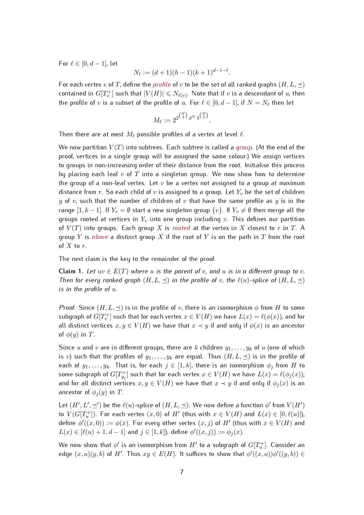For  $\ell \in [0, d - 1]$ , let

$$
N_{\ell} := (d+1)(h-1)(k+1)^{d-1-\ell}.
$$

For each vertex v of T, define the *profile* of v to be the set of all ranked graphs  $(H, L, \prec)$ contained in  $G[T_v^+]$  such that  $|V(H)| \leqslant N_{\ell(v)}.$  Note that if  $v$  is a descendant of  $u$ , then the profile of  $v$  is a subset of the profile of  $u.$  For  $\ell \in [0, d - 1]$ , if  $N = N_\ell$  then let

$$
M_{\ell} := 2^{2^{\binom{N}{2}} d^N 3^{\binom{N}{2}}}
$$

.

Then there are at most  $M_{\ell}$  possible profiles of a vertex at level  $\ell$ .

We now partition  $V(T)$  into subtrees. Each subtree is called a *group*. (At the end of the proof, vertices in a single group will be assigned the same colour.) We assign vertices to groups in non-increasing order of their distance from the root. Initialise this process by placing each leaf  $v$  of  $T$  into a singleton group. We now show how to determine the group of a non-leaf vertex. Let  $v$  be a vertex not assigned to a group at maximum distance from r. So each child of v is assigned to a group. Let  $Y_v$  be the set of children y of v, such that the number of children of v that have the same profile as y is in the range  $[1, k-1]$ . If  $Y_v = \emptyset$  start a new singleton group  $\{v\}$ . If  $Y_v \neq \emptyset$  then merge all the groups rooted at vertices in  $Y_v$  into one group including v. This defines our partition of  $V(T)$  into groups. Each group X is *rooted* at the vertex in X closest to r in T. A group Y is *above* a distinct group X if the root of Y is on the path in T from the root of  $X$  to  $r$ .

The next claim is the key to the remainder of the proof.

**Claim 1.** Let  $uv \in E(T)$  where u is the parent of v, and u is in a different group to v. *Then for every ranked graph*  $(H, L, \preceq)$  *in the profile of* v, the  $\ell(u)$ -splice of  $(H, L, \preceq)$ *is in the profile of* u*.*

*Proof.* Since  $(H, L, \preceq)$  is in the profile of v, there is an isomorphism  $\phi$  from H to some subgraph of  $G[T_v^+]$  such that for each vertex  $x\in V(H)$  we have  $L(x)=\ell(\phi(x))$ , and for all distinct vertices  $x, y \in V(H)$  we have that  $x \prec y$  if and only if  $\phi(x)$  is an ancestor of  $\phi(y)$  in T.

Since u and v are in different groups, there are k children  $y_1, \ldots, y_k$  of u (one of which is v) such that the profiles of  $y_1, \ldots, y_k$  are equal. Thus  $(H, L, \preceq)$  is in the profile of each of  $y_1, \ldots, y_k$ . That is, for each  $j \in [1, k]$ , there is an isomorphism  $\phi_j$  from H to some subgraph of  $G[T_{y_j}^+]$  such that for each vertex  $x\in V(H)$  we have  $L(x)=\ell(\phi_j(x)),$ and for all distinct vertices  $x, y \in V(H)$  we have that  $x \prec y$  if and only if  $\phi_i(x)$  is an ancestor of  $\phi_i(y)$  in T.

Let  $(H', L', \preceq')$  be the  $\ell(u)$ -splice of  $(H, L, \preceq)$ . We now define a function  $\phi'$  from  $V(H')$ to  $V(G[T_u^+])$ . For each vertex  $(x,0)$  of  $H'$  (thus with  $x \in V(H)$  and  $L(x) \in [0,\ell(u)]$ ), define  $\phi'((x,0)) := \phi(x)$ . For every other vertex  $(x, j)$  of  $H'$  (thus with  $x \in V(H)$  and  $L(x) \in [\ell(u) + 1, d - 1]$  and  $j \in [1, k]$ ), define  $\phi'((x, j)) := \phi_j(x)$ .

We now show that  $\phi'$  is an isomorphism from  $H'$  to a subgraph of  $G[T_u^+]$ . Consider an edge  $(x, a)(y, b)$  of H'. Thus  $xy \in E(H)$ . It suffices to show that  $\phi'((x, a))\phi'((y, b)) \in$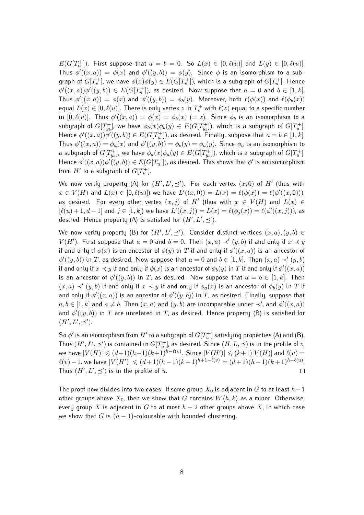$E(G[T_u^+])$ . First suppose that  $a = b = 0$ . So  $L(x) \in [0, \ell(u)]$  and  $L(y) \in [0, \ell(u)]$ . Thus  $\phi'((x,a)) = \phi(x)$  and  $\phi'((y,b)) = \phi(y)$ . Since  $\phi$  is an isomorphism to a subgraph of  $G[T_v^+]$ , we have  $\phi(x)\phi(y) \in E(G[T_v^+])$ , which is a subgraph of  $G[T_u^+]$ . Hence  $\phi'((x,a))\phi'((y,b))\,\in\, E(G[T_u^+])$ , as desired. Now suppose that  $a\,=\,0$  and  $b\,\in\,[1,k].$ Thus  $\phi'((x,a)) = \phi(x)$  and  $\phi'((y,b)) = \phi_b(y)$ . Moreover, both  $\ell(\phi(x))$  and  $\ell(\phi_b(x))$ equal  $L(x) \in [0, \ell(u)]$ . There is only vertex  $z$  in  $T_v^+$  with  $\ell(z)$  equal to a specific number in  $[0, \ell(u)]$ . Thus  $\phi'((x, a)) = \phi(x) = \phi_b(x)$  (= z). Since  $\phi_b$  is an isomorphism to a subgraph of  $G[T_{y_b}^+]$ , we have  $\phi_b(x)\phi_b(y)\in E(G[T_{y_b}^+])$ , which is a subgraph of  $G[T_{u}^+]$ . Hence  $\phi'((x,a))\phi'((y,b))\in E(G[T_u^+])$ , as desired. Finally, suppose that  $a=b\in[1,k].$ Thus  $\phi'((x,a)) = \phi_a(x)$  and  $\phi'((y,b)) = \phi_b(y) = \phi_a(y)$ . Since  $\phi_a$  is an isomorphism to a subgraph of  $G[T_{y_a}^+]$ , we have  $\phi_a(x)\phi_a(y)\in E(G[T_{y_a}^+])$ , which is a subgraph of  $G[T_u^+]$ . Hence  $\phi'((x,a))\phi'((y,b))\in E(G[T_{u}^{+}])$ , as desired. This shows that  $\phi'$  is an isomorphism from  $H'$  to a subgraph of  $G[T_u^+]$ .

We now verify property (A) for  $(H', L', \preceq')$ . For each vertex  $(x, 0)$  of  $H'$  (thus with  $x \in V(H)$  and  $L(x) \in [0, \ell(u)]$ ) we have  $L'((x, 0)) = L(x) = \ell(\phi(x)) = \ell(\phi'((x, 0))),$ as desired. For every other vertex  $(x, j)$  of  $H'$  (thus with  $x \in V(H)$  and  $L(x) \in$  $[\ell(u) + 1, d - 1]$  and  $j \in [1, k]$ ) we have  $L'((x, j)) = L(x) = \ell(\phi_j(x)) = \ell(\phi'((x, j)))$ , as desired. Hence property (A) is satisfied for  $(H', L', \preceq').$ 

We now verify property (B) for  $(H', L', \preceq')$ . Consider distinct vertices  $(x, a), (y, b) \in$  $V(H')$ . First suppose that  $a = 0$  and  $b = 0$ . Then  $(x, a) \prec' (y, b)$  if and only if  $x \prec y$ if and only if  $\phi(x)$  is an ancestor of  $\phi(y)$  in  $T$  if and only if  $\phi'((x,a))$  is an ancestor of  $\phi'((y, b))$  in T, as desired. Now suppose that  $a = 0$  and  $b \in [1, k]$ . Then  $(x, a) \prec' (y, b)$ if and only if  $x \prec y$  if and only if  $\phi(x)$  is an ancestor of  $\phi_b(y)$  in  $T$  if and only if  $\phi'((x,a))$ is an ancestor of  $\phi'((y, b))$  in T, as desired. Now suppose that  $a = b \in [1, k]$ . Then  $(x, a) \prec' (y, b)$  if and only if  $x \prec y$  if and only if  $\phi_a(x)$  is an ancestor of  $\phi_b(y)$  in T if and only if  $\phi'((x,a))$  is an ancestor of  $\phi'((y,b))$  in  $T$ , as desired. Finally, suppose that  $a, b \in [1, k]$  and  $a \neq b$ . Then  $(x, a)$  and  $(y, b)$  are incomparable under  $\prec'$ , and  $\phi'((x, a))$ and  $\phi'((y,b))$  in  $T$  are unrelated in  $T$ , as desired. Hence property (B) is satisfied for  $(H', L', \preceq').$ 

So  $\phi'$  is an isomorphism from  $H'$  to a subgraph of  $G[T_u^+]$  satisfying properties (A) and (B). Thus  $(H',L',\preceq')$  is contained in  $G[T_u^+]$ , as desired. Since  $(H,L,\preceq)$  is in the profile of  $v$ , we have  $|V(H)| \leqslant (d+1)(h-1)(k+1)^{h-\ell(v)}.$  Since  $|V(H')| \leqslant (k+1)|V(H)|$  and  $\ell(u) =$  $\ell(v)-1$ , we have  $|V(H')|\leqslant (d+1)(h-1)(k+1)^{h+1-\ell(v)}=(d+1)(h-1)(k+1)^{h-\ell(u)}.$ Thus  $(H', L', \preceq')$  is in the profile of u.  $\Box$ 

The proof now divides into two cases. If some group  $X_0$  is adjacent in G to at least  $h-1$ other groups above  $X_0$ , then we show that G contains  $W\langle h, k\rangle$  as a minor. Otherwise, every group X is adjacent in G to at most  $h-2$  other groups above X, in which case we show that G is  $(h - 1)$ -colourable with bounded clustering.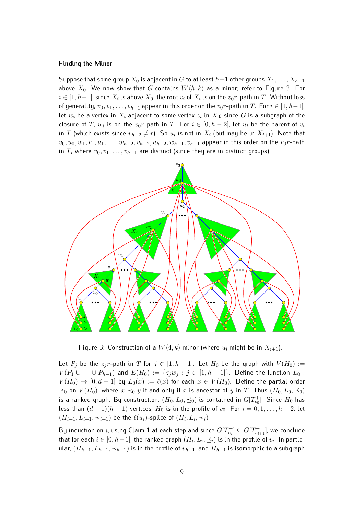#### **Finding the Minor**

Suppose that some group  $X_0$  is adjacent in G to at least  $h-1$  other groups  $X_1, \ldots, X_{h-1}$ above  $X_0$ . We now show that G contains  $W\langle h, k \rangle$  as a minor; refer to Figure [3.](#page-8-0) For  $i \in [1, h-1]$ , since  $X_i$  is above  $X_0$ , the root  $v_i$  of  $X_i$  is on the  $v_0r$ -path in  $T$ . Without loss of generality,  $v_0, v_1, \ldots, v_{h-1}$  appear in this order on the  $v_0r$ -path in T. For  $i \in [1, h-1]$ , let  $w_i$  be a vertex in  $X_i$  adjacent to some vertex  $z_i$  in  $X_0$ ; since  $G$  is a subgraph of the closure of T,  $w_i$  is on the  $v_0r$ -path in T. For  $i \in [0, h-2]$ , let  $u_i$  be the parent of  $v_i$ in  $T$  (which exists since  $v_{h-2} \neq r$ ). So  $u_i$  is not in  $X_i$  (but may be in  $X_{i+1}$ ). Note that  $v_0, u_0, w_1, v_1, u_1, \ldots, w_{h-2}, v_{h-2}, u_{h-2}, w_{h-1}, v_{h-1}$  appear in this order on the  $v_0r$ -path in T, where  $v_0, v_1, \ldots, v_{h-1}$  are distinct (since they are in distinct groups).



<span id="page-8-0"></span>Figure 3: Construction of a  $W(4, k)$  minor (where  $u_i$  might be in  $X_{i+1}$ ).

Let  $P_j$  be the  $z_jr$ -path in T for  $j \in [1, h-1]$ . Let  $H_0$  be the graph with  $V(H_0) :=$  $V(P_1 \cup \cdots \cup P_{h-1})$  and  $E(H_0) := \{z_jw_j : j \in [1, h-1]\}$ . Define the function  $L_0$ :  $V(H_0) \rightarrow [0, d-1]$  by  $L_0(x) := \ell(x)$  for each  $x \in V(H_0)$ . Define the partial order  $\preceq_0$  on  $V(H_0)$ , where  $x \prec_0 y$  if and only if  $x$  is ancestor of  $y$  in  $T$ . Thus  $(H_0, L_0, \preceq_0)$ is a ranked graph. By construction,  $(H_0, L_0, \preceq_0)$  is contained in  $G[T^+_{v_0}]$ . Since  $H_0$  has less than  $(d + 1)(h - 1)$  vertices,  $H_0$  is in the profile of  $v_0$ . For  $i = 0, 1, \ldots, h - 2$ , let  $(H_{i+1}, L_{i+1}, \prec_{i+1})$  be the  $\ell(u_i)$ -splice of  $(H_i, L_i, \prec_i)$ .

By induction on  $i$ , using Claim 1 at each step and since  $G[T^+_{u_i}]\subseteq G[T^+_{v_{i+1}}]$ , we conclude that for each  $i \in [0, h-1]$ , the ranked graph  $(H_i, L_i, \preceq_i)$  is in the profile of  $v_i$ . In particular,  $(H_{h-1}, L_{h-1}, \prec_{h-1})$  is in the profile of  $v_{h-1}$ , and  $H_{h-1}$  is isomorphic to a subgraph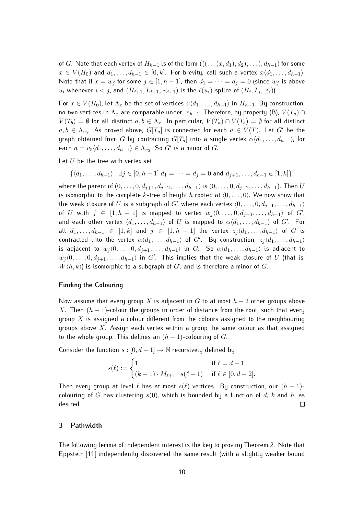of G. Note that each vertex of  $H_{h-1}$  is of the form  $(((\dots (x, d_1), d_2), \dots), d_{h-1})$  for some  $x \in V(H_0)$  and  $d_1, \ldots, d_{h-1} \in [0, k]$ . For brevity, call such a vertex  $x\langle d_1, \ldots, d_{h-1} \rangle$ . Note that if  $x = w_j$  for some  $j \in [1, h-1]$ , then  $d_1 = \cdots = d_j = 0$  (since  $w_j$  is above  $u_i$  whenever  $i < j$ , and  $(H_{i+1}, L_{i+1}, \prec_{i+1})$  is the  $\ell(u_i)$ -splice of  $(H_i, L_i, \preceq_i)$ ).

For  $x \in V(H_0)$ , let  $\Lambda_x$  be the set of vertices  $x\langle d_1, \ldots, d_{h-1} \rangle$  in  $H_{h-1}$ . By construction, no two vertices in  $\Lambda_x$  are comparable under  $\preceq_{h-1}$ . Therefore, by property (B),  $V (T_a) \cap$  $V(T_b) = \emptyset$  for all distinct  $a, b \in \Lambda_x$ . In particular,  $V(T_a) \cap V(T_b) = \emptyset$  for all distinct  $a, b \in \Lambda_{v_0}$ . As proved above,  $G[T_a]$  is connected for each  $a \in V(T)$ . Let  $G'$  be the graph obtained from G by contracting  $G[T_a]$  into a single vertex  $\alpha \langle d_1, \ldots, d_{h-1} \rangle$ , for each  $a = v_0 \langle d_1, \ldots, d_{h-1} \rangle \in \Lambda_{v_0}$ . So  $G'$  is a minor of  $G$ .

Let  $U$  be the tree with vertex set

$$
\{\langle d_1,\ldots,d_{h-1}\rangle : \exists j\in [0,h-1] \ d_1=\cdots=d_j=0 \text{ and } d_{j+1},\ldots,d_{h-1}\in [1,k] \},\
$$

where the parent of  $(0, \ldots, 0, d_{j+1}, d_{j+2}, \ldots, d_{h-1})$  is  $(0, \ldots, 0, d_{j+2}, \ldots, d_{h-1})$ . Then U is isomorphic to the complete k-tree of height h rooted at  $(0, \ldots, 0)$ . We now show that the weak closure of U is a subgraph of G', where each vertex  $\langle 0, \ldots, 0, d_{j+1}, \ldots, d_{h-1} \rangle$ of U with  $j \in [1, h - 1]$  is mapped to vertex  $w_j \langle 0, \ldots, 0, d_{j+1}, \ldots, d_{h-1} \rangle$  of  $G'$ , and each other vertex  $\langle d_1, \ldots, d_{h-1} \rangle$  of  $U$  is mapped to  $\alpha \langle d_1, \ldots, d_{h-1} \rangle$  of  $G'.$  For all  $d_1, \ldots, d_{h-1} \in [1, k]$  and  $j \in [1, h-1]$  the vertex  $z_j \langle d_1, \ldots, d_{h-1} \rangle$  of G is contracted into the vertex  $\alpha \langle d_1, \ldots, d_{h-1} \rangle$  of  $G'$ . By construction,  $z_j \langle d_1, \ldots, d_{h-1} \rangle$ is adjacent to  $w_j \langle 0, \ldots, 0, d_{j+1}, \ldots, d_{h-1} \rangle$  in G. So  $\alpha \langle d_1, \ldots, d_{h-1} \rangle$  is adjacent to  $w_j\langle 0,\ldots,0,d_{j+1},\ldots,d_{h-1}\rangle$  in  $G'$ . This implies that the weak closure of  $U$  (that is,  $W(h, k)$ ) is isomorphic to a subgraph of G', and is therefore a minor of G.

### **Finding the Colouring**

Now assume that every group X is adjacent in G to at most  $h-2$  other groups above X. Then  $(h - 1)$ -colour the groups in order of distance from the root, such that every group  $X$  is assigned a colour different from the colours assigned to the neighbouring groups above  $X$ . Assign each vertex within a group the same colour as that assigned to the whole group. This defines an  $(h - 1)$ -colouring of G.

Consider the function  $s : [0, d-1] \rightarrow \mathbb{N}$  recursively defined by

$$
s(\ell) := \begin{cases} 1 & \text{if } \ell = d - 1 \\ (k - 1) \cdot M_{\ell + 1} \cdot s(\ell + 1) & \text{if } \ell \in [0, d - 2]. \end{cases}
$$

Then every group at level  $\ell$  has at most  $s(\ell)$  vertices. By construction, our  $(h - 1)$ colouring of G has clustering  $s(0)$ , which is bounded by a function of d, k and h, as desired.  $\Box$ 

#### <span id="page-9-0"></span>**3 Pathwidth**

The following lemma of independent interest is the key to proving Theorem [2.](#page-2-0) Note that Eppstein [\[11\]](#page-13-9) independently discovered the same result (with a slightly weaker bound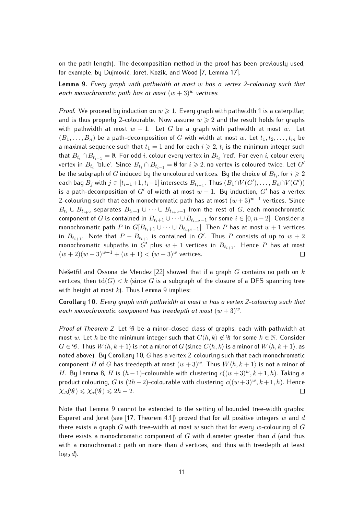on the path length). The decomposition method in the proof has been previously used, for example, by Dujmović, Joret, Kozik, and Wood [\[7,](#page-13-10) Lemma 17].

<span id="page-10-0"></span>**Lemma 9.** *Every graph with pathwidth at most* w *has a vertex 2-colouring such that each monochromatic path has at most*  $(w + 3)^w$  *vertices.* 

*Proof.* We proceed by induction on  $w \ge 1$ . Every graph with pathwidth 1 is a caterpillar, and is thus properly 2-colourable. Now assume  $w \geq 2$  and the result holds for graphs with pathwidth at most  $w - 1$ . Let G be a graph with pathwidth at most w. Let  $(B_1, \ldots, B_n)$  be a path-decomposition of G with width at most w. Let  $t_1, t_2, \ldots, t_m$  be a maximal sequence such that  $t_1 = 1$  and for each  $i \geqslant 2$ ,  $t_i$  is the minimum integer such that  $B_{t_i} \cap B_{t_{i-1}} = \emptyset$ . For odd  $i$ , colour every vertex in  $B_{t_i}$  'red'. For even  $i$ , colour every vertex in  $B_{t_i}$  'blue'. Since  $B_{t_i} \cap B_{t_{i-1}} = \emptyset$  for  $i \geqslant 2$ , no vertex is coloured twice. Let  $G'$ be the subgraph of  $G$  induced by the uncoloured vertices. By the choice of  $B_{t_i}$ , for  $i\geqslant 2$ each bag  $B_j$  with  $j \in [t_{i-1}+1, t_i-1]$  intersects  $B_{t_{i-1}}$ . Thus  $(B_1 \cap V(G'), \ldots, B_n \cap V(G'))$ is a path-decomposition of G' of width at most  $w - 1$ . By induction, G' has a vertex 2-colouring such that each monochromatic path has at most  $(w+3)^{w-1}$  vertices. Since  $B_{t_i} \cup B_{t_{i+2}}$  separates  $B_{t_i+1} \cup \cdots \cup B_{t_{i+2}-1}$  from the rest of  $G$ , each monochromatic component of G is contained in  $B_{t_i+1} \cup \cdots \cup B_{t_{i+2}-1}$  for some  $i \in [0, n-2]$ . Consider a monochromatic path P in  $G[B_{t_{i+1}} \cup \cdots \cup B_{t_{i+2}-1}]$ . Then P has at most  $w+1$  vertices in  $B_{t_{i+1}}$ . Note that  $P - B_{t_{i+1}}$  is contained in  $G'$ . Thus  $P$  consists of up to  $w + 2$ monochromatic subpaths in G' plus  $w + 1$  vertices in  $B_{t_{i+1}}$ . Hence P has at most  $(w + 2)(w + 3)^{w-1} + (w + 1) < (w + 3)^w$  vertices.  $\Box$ 

Nešetřil and Ossona de Mendez [\[22\]](#page-13-7) showed that if a graph  $G$  contains no path on  $k$ vertices, then  $\text{td}(G) < k$  (since G is a subgraph of the closure of a DFS spanning tree with height at most  $k$ ). Thus Lemma [9](#page-10-0) implies:

<span id="page-10-1"></span>**Corollary 10.** *Every graph with pathwidth at most* w *has a vertex 2-colouring such that each monochromatic component has treedepth at most*  $(w + 3)^w$ .

*Proof of Theorem [2.](#page-2-0)* Let  $\mathcal G$  be a minor-closed class of graphs, each with pathwidth at most w. Let h be the minimum integer such that  $C\langle h, k \rangle \notin \mathscr{G}$  for some  $k \in \mathbb{N}$ . Consider  $G \in \mathscr{G}$ . Thus  $W\langle h, k+1 \rangle$  is not a minor of G (since  $C\langle h, k \rangle$  is a minor of  $W\langle h, k+1 \rangle$ , as noted above). By Corollary [10,](#page-10-1) G has a vertex 2-colouring such that each monochromatic component H of G has treedepth at most  $(w+3)^w$ . Thus  $W\langle h, k+1 \rangle$  is not a minor of H. By Lemma [8,](#page-4-2) H is  $(h-1)$ -colourable with clustering  $c((w+3)^w, k+1, h)$ . Taking a product colouring, G is  $(2h-2)$ -colourable with clustering  $c((w+3)^w, k+1, h)$ . Hence  $\chi_{\Delta}( \mathscr{G}) \leqslant \chi_{\star}( \mathscr{G}) \leqslant 2h-2.$ П

Note that Lemma [9](#page-10-0) cannot be extended to the setting of bounded tree-width graphs: Esperet and Joret (see [\[17,](#page-13-11) Theorem 4.1]) proved that for all positive integers w and d there exists a graph G with tree-width at most w such that for every w-colouring of G there exists a monochromatic component of  $G$  with diameter greater than  $d$  (and thus with a monochromatic path on more than  $d$  vertices, and thus with treedepth at least  $\log_2 d$ ).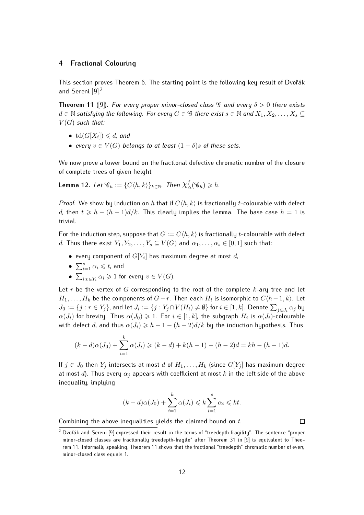# <span id="page-11-0"></span>**4 Fractional Colouring**

This section proves Theorem [6.](#page-3-1) The starting point is the following key result of Dvořák and Sereni [\[9\]](#page-13-12).<sup>[2](#page-0-0)</sup>

<span id="page-11-1"></span>**Theorem 11** ([\[9\]](#page-13-12)). *For every proper minor-closed class* G *and every*  $\delta > 0$  *there exists*  $d \in \mathbb{N}$  satisfying the following. For every  $G \in \mathscr{G}$  there exist  $s \in \mathbb{N}$  and  $X_1, X_2, \ldots, X_s \subseteq$  $V(G)$  *such that:* 

- $\bullet \ \text{td}(G[X_i]) \leq d$ , and
- *every*  $v \in V(G)$  *belongs to at least*  $(1 \delta)s$  *of these sets.*

We now prove a lower bound on the fractional defective chromatic number of the closure of complete trees of given height.

<span id="page-11-2"></span>Lemma 12. Let  $\mathscr{C}_h := \{C \langle h, k \rangle\}_{k \in \mathbb{N}}$ . Then  $\chi^f_\Delta(\mathscr{C}_h) \geqslant h$ .

*Proof.* We show by induction on h that if  $C(h, k)$  is fractionally t-colourable with defect d, then  $t \geq h - (h-1)d/k$ . This clearly implies the lemma. The base case  $h = 1$  is trivial.

For the induction step, suppose that  $G := C(h, k)$  is fractionally t-colourable with defect d. Thus there exist  $Y_1, Y_2, \ldots, Y_s \subseteq V(G)$  and  $\alpha_1, \ldots, \alpha_s \in [0,1]$  such that:

- $\bullet\,$  every component of  $G[Y_i]$  has maximum degree at most  $d_i$
- $\bullet \sum_{i=1}^{s} \alpha_i \leqslant t$ , and
- $\bullet \sum_{i:v\in Y_i}\alpha_i\geqslant 1$  for every  $v\in V(G).$

Let r be the vertex of G corresponding to the root of the complete  $k$ -ary tree and let  $H_1, \ldots, H_k$  be the components of  $G-r$ . Then each  $H_i$  is isomorphic to  $C\langle h-1, k\rangle$ . Let  $J_0:=\{j:r\in Y_j\}$ , and let  $J_i:=\{j:Y_j\cap V(H_i)\neq\emptyset\}$  for  $i\in[1,k]$ . Denote  $\sum_{j\in J_i}\alpha_j$  by  $\alpha(J_i)$  for brevity. Thus  $\alpha(J_0)\geqslant 1.$  For  $i\in[1,k]$ , the subgraph  $H_i$  is  $\alpha(J_i)$ -colourable with defect d, and thus  $\alpha(J_i) \geq h - 1 - (h - 2)d/k$  by the induction hypothesis. Thus

$$
(k-d)\alpha(J_0) + \sum_{i=1}^k \alpha(J_i) \ge (k-d) + k(h-1) - (h-2)d = kh - (h-1)d.
$$

If  $j \in J_0$  then  $Y_j$  intersects at most d of  $H_1, \ldots, H_k$  (since  $G[Y_j]$  has maximum degree at most d). Thus every  $\alpha_i$  appears with coefficient at most k in the left side of the above inequality, implying

$$
(k-d)\alpha(J_0) + \sum_{i=1}^k \alpha(J_i) \leq k \sum_{i=1}^s \alpha_i \leq k t.
$$

Combining the above inequalities yields the claimed bound on t.

 $\Box$ 

 $2$  Dvořák and Sereni [\[9\]](#page-13-12) expressed their result in the terms of "treedepth fragility". The sentence "proper minor-closed classes are fractionally treedepth-fragile" after Theorem 31 in [\[9\]](#page-13-12) is equivalent to Theorem [11.](#page-11-1) Informally speaking, Theorem [11](#page-11-1) shows that the fractional "treedepth" chromatic number of every minor-closed class equals 1.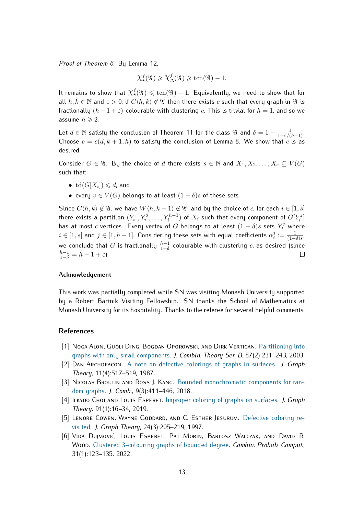*Proof of Theorem [6.](#page-3-1)* By Lemma [12,](#page-11-2)

$$
\chi^f_{\star}( \mathcal{G}) \geqslant \chi^f_{\Delta}( \mathcal{G}) \geqslant \text{tcn}( \mathcal{G}) -1.
$$

It remains to show that  $\chi_\star^f(\mathscr{G}) \leqslant \mathrm{tcn}(\mathscr{G})-1.$  Equivalently, we need to show that for all  $h, k \in \mathbb{N}$  and  $\varepsilon > 0$ , if  $C(h, k) \notin \mathscr{G}$  then there exists c such that every graph in  $\mathscr{G}$  is fractionally  $(h-1+\varepsilon)$ -colourable with clustering c. This is trivial for  $h=1$ , and so we assume  $h \geqslant 2$ .

Let  $d \in \mathbb{N}$  satisfy the conclusion of Theorem [11](#page-11-1) for the class  $\mathscr{G}$  and  $\delta = 1 - \frac{1}{1+\varepsilon/(h-1)}$ . Choose  $c = c(d, k + 1, h)$  to satisfy the conclusion of Lemma [8.](#page-4-2) We show that c is as desired.

Consider  $G \in \mathscr{G}$ . By the choice of d there exists  $s \in \mathbb{N}$  and  $X_1, X_2, \ldots, X_s \subseteq V(G)$ such that:

- $\text{td}(G[X_i]) \leq d$ , and
- every  $v \in V(G)$  belongs to at least  $(1 \delta)s$  of these sets.

Since  $C(h, k) \notin \mathscr{G}$ , we have  $W\langle h, k+1 \rangle \notin \mathscr{G}$ , and by the choice of c, for each  $i \in [1, s]$ there exists a partition  $(Y_i^1, Y_i^2, \ldots, Y_i^{h-1})$  of  $X_i$  such that every component of  $G[Y_i^j]$  $\binom{J}{i}$ has at most  $c$  vertices. Every vertex of  $G$  belongs to at least  $(1-\delta)s$  sets  $Y_i^j$  where  $i \in [1,s]$  and  $j \in [1,h-1].$  Considering these sets with equal coefficients  $\alpha_i^j$  $\frac{j}{i}:=\frac{1}{(1-\delta)s}$  , we conclude that  $G$  is fractionally  $\frac{h-1}{1-\delta}$ -colourable with clustering  $c$ , as desired (since  $\frac{h-1}{1-\delta} = h-1+\varepsilon$ ). П

#### **Acknowledgement**

This work was partially completed while SN was visiting Monash University supported by a Robert Bartnik Visiting Fellowship. SN thanks the School of Mathematics at Monash University for its hospitality. Thanks to the referee for several helpful comments.

#### **References**

- <span id="page-12-0"></span>[1] Noga Alon, Guoli Ding, Bogdan Oporowski, and Dirk Vertigan. [Partitioning into](https://doi.org/10.1016/S0095-8956(02)00006-0) [graphs with only small components.](https://doi.org/10.1016/S0095-8956(02)00006-0) *J. Combin. Theory Ser. B*, 87(2):231–243, 2003.
- <span id="page-12-2"></span>[2] Dan Archdeacon. [A note on defective colorings of graphs in surfaces.](https://doi.org/10.1002/jgt.3190110408) *J. Graph Theory*, 11(4):517–519, 1987.
- [3] NICOLAS BROUTIN AND ROSS J. KANG. [Bounded monochromatic components for ran](https://doi.org/10.4310/JOC.2018.v9.n3.a1)[dom graphs.](https://doi.org/10.4310/JOC.2018.v9.n3.a1) *J. Comb.*, 9(3):411–446, 2018.
- [4] Ilkyoo Choi and Louis Esperet. [Improper coloring of graphs on surfaces.](https://doi.org/10.1002/jgt.22418) *J. Graph Theory*, 91(1):16–34, 2019.
- <span id="page-12-3"></span>[5] LENORE COWEN, WAYNE GODDARD, AND C. ESTHER JESURUM. [Defective coloring re](https://doi.org/10.1002/(SICI)1097-0118(199703)24:3<205::AID-JGT2>3.0.CO;2-T)[visited.](https://doi.org/10.1002/(SICI)1097-0118(199703)24:3<205::AID-JGT2>3.0.CO;2-T) *J. Graph Theory*, 24(3):205–219, 1997.
- <span id="page-12-1"></span>[6] VIDA DUJMOVIĆ, LOUIS ESPERET, PAT MORIN, BARTOSZ WALCZAK, AND DAVID R. Wood. [Clustered 3-colouring graphs of bounded degree.](https://doi.org/10.1017/S0963548321000213) *Combin. Probab. Comput.*, 31(1):123–135, 2022.